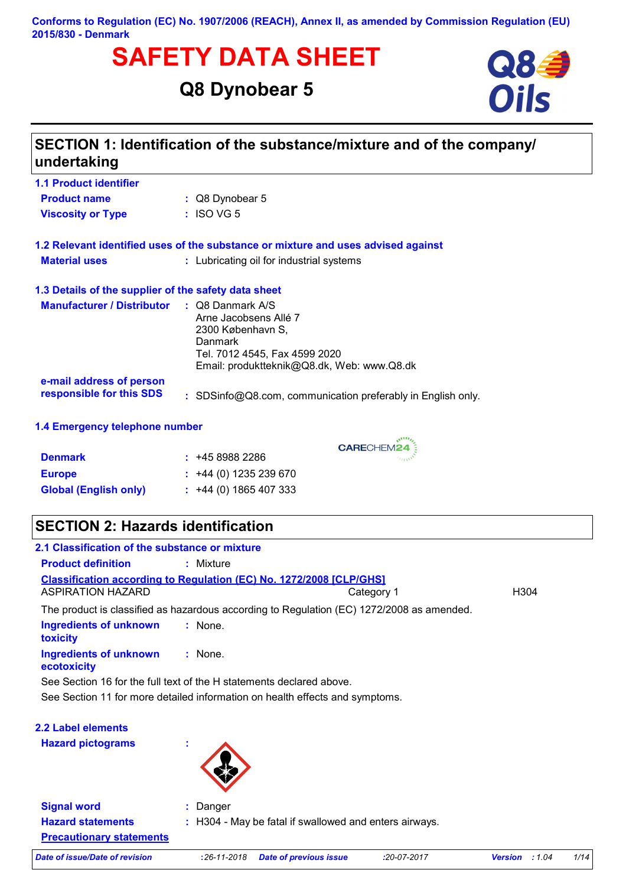### **Conforms to Regulation (EC) No. 1907/2006 (REACH), Annex II, as amended by Commission Regulation (EU) 2015/830 - Denmark**

# **SAFETY DATA SHEET**<br>
Q8 Dynobear 5

# **Q8 Dynobear 5**



| <b>1.1 Product identifier</b>                        |                                                                                                                                                                     |
|------------------------------------------------------|---------------------------------------------------------------------------------------------------------------------------------------------------------------------|
| <b>Product name</b>                                  | : Q8 Dynobear 5                                                                                                                                                     |
| <b>Viscosity or Type</b>                             | $:$ ISO VG 5                                                                                                                                                        |
|                                                      | 1.2 Relevant identified uses of the substance or mixture and uses advised against                                                                                   |
| <b>Material uses</b>                                 | : Lubricating oil for industrial systems                                                                                                                            |
| 1.3 Details of the supplier of the safety data sheet |                                                                                                                                                                     |
| <b>Manufacturer / Distributor</b>                    | $\therefore$ Q8 Danmark A/S<br>Arne Jacobsens Allé 7<br>2300 København S.<br>Danmark<br>Tel. 7012 4545, Fax 4599 2020<br>Email: produktteknik@Q8.dk, Web: www.Q8.dk |
| e-mail address of person<br>responsible for this SDS | : SDSinfo@Q8.com, communication preferably in English only.                                                                                                         |
| 1.4 Emergency telephone number                       |                                                                                                                                                                     |

CARECHEM24

| <b>Denmark</b>               | : 4589882286                |
|------------------------------|-----------------------------|
| <b>Europe</b>                | $\div$ +44 (0) 1235 239 670 |
| <b>Global (English only)</b> | $\div$ +44 (0) 1865 407 333 |

# **SECTION 2: Hazards identification**

| 2.1 Classification of the substance or mixture                               |                                                                                           |            |                  |
|------------------------------------------------------------------------------|-------------------------------------------------------------------------------------------|------------|------------------|
| <b>Product definition</b>                                                    | : Mixture                                                                                 |            |                  |
| ASPIRATION HAZARD                                                            | <b>Classification according to Regulation (EC) No. 1272/2008 [CLP/GHS]</b>                | Category 1 | H <sub>304</sub> |
|                                                                              | The product is classified as hazardous according to Regulation (EC) 1272/2008 as amended. |            |                  |
| Ingredients of unknown<br>toxicity                                           | : None.                                                                                   |            |                  |
| Ingredients of unknown<br>ecotoxicity                                        | : None.                                                                                   |            |                  |
|                                                                              | See Section 16 for the full text of the H statements declared above.                      |            |                  |
| See Section 11 for more detailed information on health effects and symptoms. |                                                                                           |            |                  |

| <b>2.2 Label elements</b>                                   |               |                                                        |               |                          |      |
|-------------------------------------------------------------|---------------|--------------------------------------------------------|---------------|--------------------------|------|
| <b>Hazard pictograms</b>                                    | ٠<br>٠        |                                                        |               |                          |      |
| <b>Signal word</b>                                          | : Danger      |                                                        |               |                          |      |
| <b>Hazard statements</b><br><b>Precautionary statements</b> |               | : H304 - May be fatal if swallowed and enters airways. |               |                          |      |
| Date of issue/Date of revision                              | $:26-11-2018$ | <b>Date of previous issue</b>                          | $:20-07-2017$ | <b>Version</b><br>: 1.04 | 1/14 |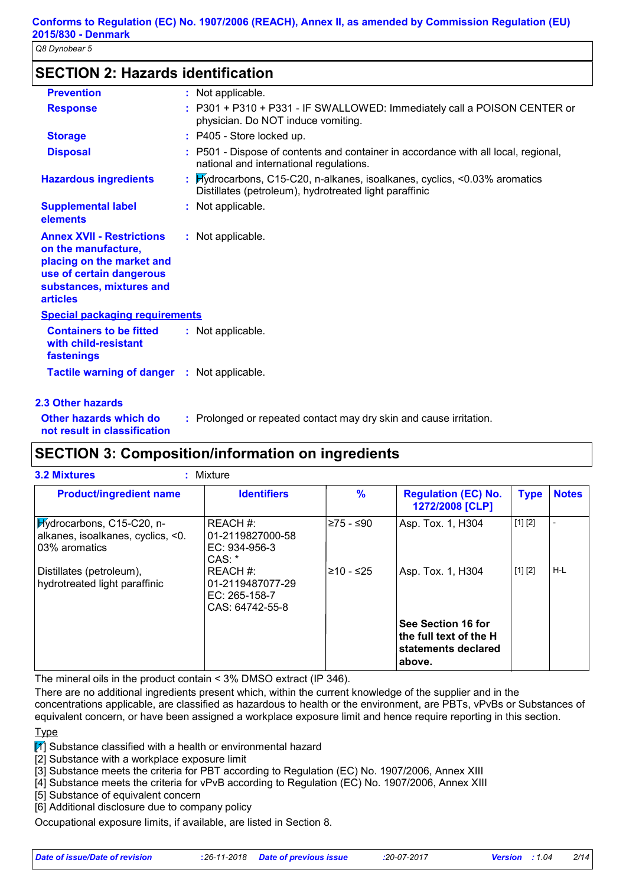# **SECTION 2: Hazards identification**

| <b>Prevention</b>                                                                                                                                               | : Not applicable.                                                                                                                   |
|-----------------------------------------------------------------------------------------------------------------------------------------------------------------|-------------------------------------------------------------------------------------------------------------------------------------|
| <b>Response</b>                                                                                                                                                 | : P301 + P310 + P331 - IF SWALLOWED: Immediately call a POISON CENTER or<br>physician. Do NOT induce vomiting.                      |
| <b>Storage</b>                                                                                                                                                  | : P405 - Store locked up.                                                                                                           |
| <b>Disposal</b>                                                                                                                                                 | : P501 - Dispose of contents and container in accordance with all local, regional,<br>national and international regulations.       |
| <b>Hazardous ingredients</b>                                                                                                                                    | : Hydrocarbons, C15-C20, n-alkanes, isoalkanes, cyclics, <0.03% aromatics<br>Distillates (petroleum), hydrotreated light paraffinic |
| <b>Supplemental label</b><br>elements                                                                                                                           | : Not applicable.                                                                                                                   |
| <b>Annex XVII - Restrictions</b><br>on the manufacture,<br>placing on the market and<br>use of certain dangerous<br>substances, mixtures and<br><b>articles</b> | : Not applicable.                                                                                                                   |
| <b>Special packaging requirements</b>                                                                                                                           |                                                                                                                                     |
| <b>Containers to be fitted</b><br>with child-resistant<br>fastenings                                                                                            | : Not applicable.                                                                                                                   |
| <b>Tactile warning of danger : Not applicable.</b>                                                                                                              |                                                                                                                                     |

### **2.3 Other hazards**

**Other hazards which do :** : Prolonged or repeated contact may dry skin and cause irritation.

**not result in classification**

# **SECTION 3: Composition/information on ingredients**

| <b>Product/ingredient name</b>                                                  | <b>Identifiers</b>                                                 | $\frac{9}{6}$ | <b>Regulation (EC) No.</b><br>1272/2008 [CLP]                                 | <b>Type</b> | <b>Notes</b> |
|---------------------------------------------------------------------------------|--------------------------------------------------------------------|---------------|-------------------------------------------------------------------------------|-------------|--------------|
| Hydrocarbons, C15-C20, n-<br>alkanes, isoalkanes, cyclics, <0.<br>03% aromatics | REACH #:<br>01-2119827000-58<br>$EC: 934-956-3$<br>CAS: *          | l≥75 - ≤90    | Asp. Tox. 1, H304                                                             | [1] [2]     |              |
| Distillates (petroleum),<br>hydrotreated light paraffinic                       | REACH #:<br>01-2119487077-29<br>$EC: 265-158-7$<br>CAS: 64742-55-8 | l≥10 - ≤25    | Asp. Tox. 1, H304                                                             | [1] [2]     | H-L          |
|                                                                                 |                                                                    |               | See Section 16 for<br>the full text of the H<br>statements declared<br>above. |             |              |

The mineral oils in the product contain < 3% DMSO extract (IP 346).

There are no additional ingredients present which, within the current knowledge of the supplier and in the concentrations applicable, are classified as hazardous to health or the environment, are PBTs, vPvBs or Substances of equivalent concern, or have been assigned a workplace exposure limit and hence require reporting in this section.

### **T**<sub>vpe</sub>

 $\boxed{1}$  Substance classified with a health or environmental hazard

[2] Substance with a workplace exposure limit

[3] Substance meets the criteria for PBT according to Regulation (EC) No. 1907/2006, Annex XIII

[4] Substance meets the criteria for vPvB according to Regulation (EC) No. 1907/2006, Annex XIII

[5] Substance of equivalent concern

[6] Additional disclosure due to company policy

Occupational exposure limits, if available, are listed in Section 8.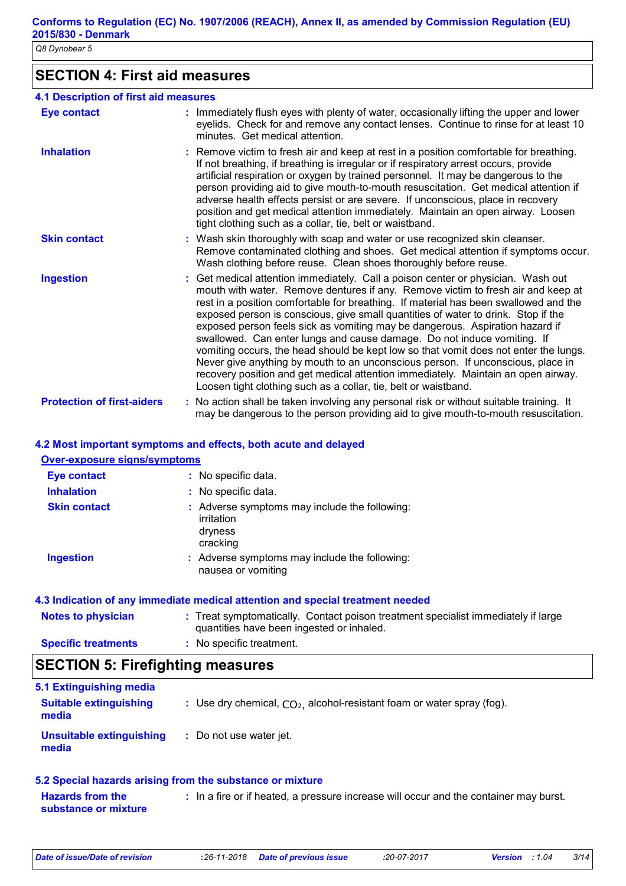# **SECTION 4: First aid measures**

| <b>4.1 Description of first aid measures</b> |                                                                                                                                                                                                                                                                                                                                                                                                                                                                                                                                                                                                                                                                                                                                                                                                                                                 |
|----------------------------------------------|-------------------------------------------------------------------------------------------------------------------------------------------------------------------------------------------------------------------------------------------------------------------------------------------------------------------------------------------------------------------------------------------------------------------------------------------------------------------------------------------------------------------------------------------------------------------------------------------------------------------------------------------------------------------------------------------------------------------------------------------------------------------------------------------------------------------------------------------------|
| <b>Eye contact</b>                           | : Immediately flush eyes with plenty of water, occasionally lifting the upper and lower<br>eyelids. Check for and remove any contact lenses. Continue to rinse for at least 10<br>minutes. Get medical attention.                                                                                                                                                                                                                                                                                                                                                                                                                                                                                                                                                                                                                               |
| <b>Inhalation</b>                            | : Remove victim to fresh air and keep at rest in a position comfortable for breathing.<br>If not breathing, if breathing is irregular or if respiratory arrest occurs, provide<br>artificial respiration or oxygen by trained personnel. It may be dangerous to the<br>person providing aid to give mouth-to-mouth resuscitation. Get medical attention if<br>adverse health effects persist or are severe. If unconscious, place in recovery<br>position and get medical attention immediately. Maintain an open airway. Loosen<br>tight clothing such as a collar, tie, belt or waistband.                                                                                                                                                                                                                                                    |
| <b>Skin contact</b>                          | : Wash skin thoroughly with soap and water or use recognized skin cleanser.<br>Remove contaminated clothing and shoes. Get medical attention if symptoms occur.<br>Wash clothing before reuse. Clean shoes thoroughly before reuse.                                                                                                                                                                                                                                                                                                                                                                                                                                                                                                                                                                                                             |
| <b>Ingestion</b>                             | : Get medical attention immediately. Call a poison center or physician. Wash out<br>mouth with water. Remove dentures if any. Remove victim to fresh air and keep at<br>rest in a position comfortable for breathing. If material has been swallowed and the<br>exposed person is conscious, give small quantities of water to drink. Stop if the<br>exposed person feels sick as vomiting may be dangerous. Aspiration hazard if<br>swallowed. Can enter lungs and cause damage. Do not induce vomiting. If<br>vomiting occurs, the head should be kept low so that vomit does not enter the lungs.<br>Never give anything by mouth to an unconscious person. If unconscious, place in<br>recovery position and get medical attention immediately. Maintain an open airway.<br>Loosen tight clothing such as a collar, tie, belt or waistband. |
| <b>Protection of first-aiders</b>            | : No action shall be taken involving any personal risk or without suitable training. It<br>may be dangerous to the person providing aid to give mouth-to-mouth resuscitation.                                                                                                                                                                                                                                                                                                                                                                                                                                                                                                                                                                                                                                                                   |

### **4.2 Most important symptoms and effects, both acute and delayed**

### **Notes to physician** : Treat symptomatically. Contact poison treatment specialist immediately if large in the symptomatically. quantities have been ingested or inhaled. **Specific treatments Over-exposure signs/symptoms Skin contact Ingestion Inhalation :** No specific data. Adverse symptoms may include the following: **:** nausea or vomiting Adverse symptoms may include the following: **:** irritation dryness cracking **Eye contact :** No specific data. **4.3 Indication of any immediate medical attention and special treatment needed :** No specific treatment.

# **SECTION 5: Firefighting measures**

| 5.1 Extinguishing media<br><b>Suitable extinguishing</b><br>media | : Use dry chemical, $CO2$ , alcohol-resistant foam or water spray (fog). |
|-------------------------------------------------------------------|--------------------------------------------------------------------------|
| Unsuitable extinguishing<br>media                                 | : Do not use water jet.                                                  |

### **5.2 Special hazards arising from the substance or mixture**

**Hazards from the substance or mixture :** In a fire or if heated, a pressure increase will occur and the container may burst.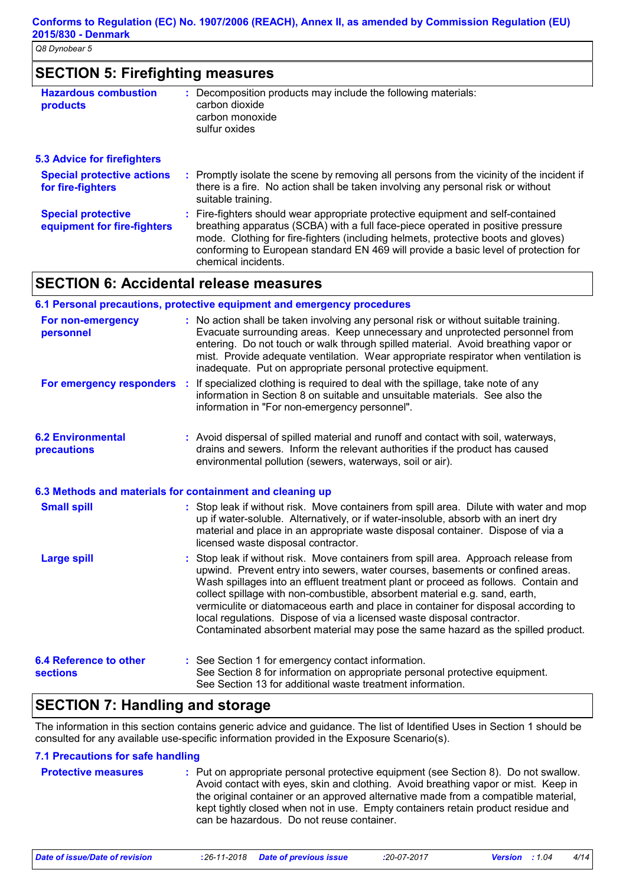| <b>SECTION 5: Firefighting measures</b> |                                                               |
|-----------------------------------------|---------------------------------------------------------------|
| <b>Hazardous combustion</b>             | : Decomposition products may include the following materials: |
| products                                | carbon dioxide                                                |

carbon monoxide sulfur oxides

### **5.3 Advice for firefighters**

| <b>U.U AUVICE IUI III CHYNICI J</b>                      |                                                                                                                                                                                                                                                                                                                                                                       |
|----------------------------------------------------------|-----------------------------------------------------------------------------------------------------------------------------------------------------------------------------------------------------------------------------------------------------------------------------------------------------------------------------------------------------------------------|
| <b>Special protective actions</b><br>for fire-fighters   | : Promptly isolate the scene by removing all persons from the vicinity of the incident if<br>there is a fire. No action shall be taken involving any personal risk or without<br>suitable training.                                                                                                                                                                   |
| <b>Special protective</b><br>equipment for fire-fighters | : Fire-fighters should wear appropriate protective equipment and self-contained<br>breathing apparatus (SCBA) with a full face-piece operated in positive pressure<br>mode. Clothing for fire-fighters (including helmets, protective boots and gloves)<br>conforming to European standard EN 469 will provide a basic level of protection for<br>chemical incidents. |

# **SECTION 6: Accidental release measures**

|                                                  | 6.1 Personal precautions, protective equipment and emergency procedures                                                                                                                                                                                                                                                                                                                                                                                                                                                                                                                         |
|--------------------------------------------------|-------------------------------------------------------------------------------------------------------------------------------------------------------------------------------------------------------------------------------------------------------------------------------------------------------------------------------------------------------------------------------------------------------------------------------------------------------------------------------------------------------------------------------------------------------------------------------------------------|
| For non-emergency<br>personnel                   | : No action shall be taken involving any personal risk or without suitable training.<br>Evacuate surrounding areas. Keep unnecessary and unprotected personnel from<br>entering. Do not touch or walk through spilled material. Avoid breathing vapor or<br>mist. Provide adequate ventilation. Wear appropriate respirator when ventilation is<br>inadequate. Put on appropriate personal protective equipment.                                                                                                                                                                                |
|                                                  | For emergency responders : If specialized clothing is required to deal with the spillage, take note of any<br>information in Section 8 on suitable and unsuitable materials. See also the<br>information in "For non-emergency personnel".                                                                                                                                                                                                                                                                                                                                                      |
| <b>6.2 Environmental</b><br>precautions          | : Avoid dispersal of spilled material and runoff and contact with soil, waterways,<br>drains and sewers. Inform the relevant authorities if the product has caused<br>environmental pollution (sewers, waterways, soil or air).                                                                                                                                                                                                                                                                                                                                                                 |
|                                                  | 6.3 Methods and materials for containment and cleaning up                                                                                                                                                                                                                                                                                                                                                                                                                                                                                                                                       |
| <b>Small spill</b>                               | : Stop leak if without risk. Move containers from spill area. Dilute with water and mop<br>up if water-soluble. Alternatively, or if water-insoluble, absorb with an inert dry<br>material and place in an appropriate waste disposal container. Dispose of via a<br>licensed waste disposal contractor.                                                                                                                                                                                                                                                                                        |
| <b>Large spill</b>                               | : Stop leak if without risk. Move containers from spill area. Approach release from<br>upwind. Prevent entry into sewers, water courses, basements or confined areas.<br>Wash spillages into an effluent treatment plant or proceed as follows. Contain and<br>collect spillage with non-combustible, absorbent material e.g. sand, earth,<br>vermiculite or diatomaceous earth and place in container for disposal according to<br>local regulations. Dispose of via a licensed waste disposal contractor.<br>Contaminated absorbent material may pose the same hazard as the spilled product. |
| <b>6.4 Reference to other</b><br><b>sections</b> | : See Section 1 for emergency contact information.<br>See Section 8 for information on appropriate personal protective equipment.<br>See Section 13 for additional waste treatment information.                                                                                                                                                                                                                                                                                                                                                                                                 |

# **SECTION 7: Handling and storage**

The information in this section contains generic advice and guidance. The list of Identified Uses in Section 1 should be consulted for any available use-specific information provided in the Exposure Scenario(s).

## **7.1 Precautions for safe handling**

| <b>Protective measures</b> | : Put on appropriate personal protective equipment (see Section 8). Do not swallow.<br>Avoid contact with eyes, skin and clothing. Avoid breathing vapor or mist. Keep in<br>the original container or an approved alternative made from a compatible material,<br>kept tightly closed when not in use. Empty containers retain product residue and |
|----------------------------|-----------------------------------------------------------------------------------------------------------------------------------------------------------------------------------------------------------------------------------------------------------------------------------------------------------------------------------------------------|
|                            | can be hazardous. Do not reuse container.                                                                                                                                                                                                                                                                                                           |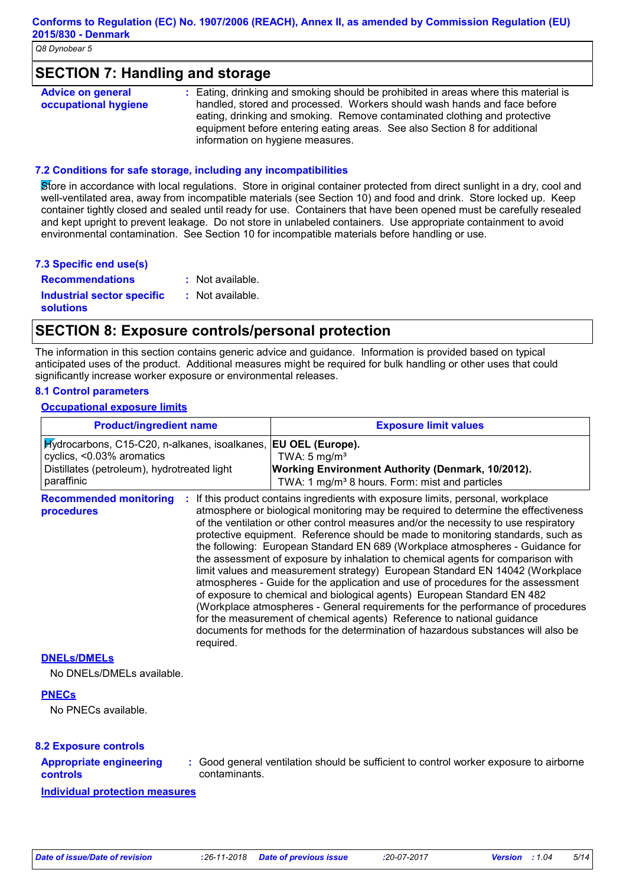### **SECTION 7: Handling and storage**

| <b>Advice on general</b> | : Eating, drinking and smoking should be prohibited in areas where this material is |
|--------------------------|-------------------------------------------------------------------------------------|
| occupational hygiene     | handled, stored and processed. Workers should wash hands and face before            |
|                          | eating, drinking and smoking. Remove contaminated clothing and protective           |
|                          | equipment before entering eating areas. See also Section 8 for additional           |
|                          | information on hygiene measures.                                                    |

### **7.2 Conditions for safe storage, including any incompatibilities**

Store in accordance with local regulations. Store in original container protected from direct sunlight in a dry, cool and well-ventilated area, away from incompatible materials (see Section 10) and food and drink. Store locked up. Keep container tightly closed and sealed until ready for use. Containers that have been opened must be carefully resealed and kept upright to prevent leakage. Do not store in unlabeled containers. Use appropriate containment to avoid environmental contamination. See Section 10 for incompatible materials before handling or use.

### **7.3 Specific end use(s)**

| <b>Recommendations</b>                         | : Not available.   |
|------------------------------------------------|--------------------|
| Industrial sector specific<br><b>solutions</b> | $:$ Not available. |

# **SECTION 8: Exposure controls/personal protection**

The information in this section contains generic advice and guidance. Information is provided based on typical anticipated uses of the product. Additional measures might be required for bulk handling or other uses that could significantly increase worker exposure or environmental releases.

### **8.1 Control parameters**

### **Occupational exposure limits**

| <b>Product/ingredient name</b><br>Hydrocarbons, C15-C20, n-alkanes, isoalkanes,<br>cyclics, <0.03% aromatics<br>Distillates (petroleum), hydrotreated light<br>paraffinic |           | <b>Exposure limit values</b>                                                                                                                                                                                                                                                                                                                                                                                                                                                                                                                                                                                                                                                                                                                                                                                                                                                                                                                                                                                        |  |  |
|---------------------------------------------------------------------------------------------------------------------------------------------------------------------------|-----------|---------------------------------------------------------------------------------------------------------------------------------------------------------------------------------------------------------------------------------------------------------------------------------------------------------------------------------------------------------------------------------------------------------------------------------------------------------------------------------------------------------------------------------------------------------------------------------------------------------------------------------------------------------------------------------------------------------------------------------------------------------------------------------------------------------------------------------------------------------------------------------------------------------------------------------------------------------------------------------------------------------------------|--|--|
|                                                                                                                                                                           |           | EU OEL (Europe).<br>TWA: $5 \text{ mg/m}^3$<br><b>Working Environment Authority (Denmark, 10/2012).</b><br>TWA: 1 mg/m <sup>3</sup> 8 hours. Form: mist and particles                                                                                                                                                                                                                                                                                                                                                                                                                                                                                                                                                                                                                                                                                                                                                                                                                                               |  |  |
| <b>Recommended monitoring</b><br>procedures                                                                                                                               | required. | If this product contains ingredients with exposure limits, personal, workplace<br>atmosphere or biological monitoring may be required to determine the effectiveness<br>of the ventilation or other control measures and/or the necessity to use respiratory<br>protective equipment. Reference should be made to monitoring standards, such as<br>the following: European Standard EN 689 (Workplace atmospheres - Guidance for<br>the assessment of exposure by inhalation to chemical agents for comparison with<br>limit values and measurement strategy) European Standard EN 14042 (Workplace<br>atmospheres - Guide for the application and use of procedures for the assessment<br>of exposure to chemical and biological agents) European Standard EN 482<br>(Workplace atmospheres - General requirements for the performance of procedures<br>for the measurement of chemical agents) Reference to national guidance<br>documents for methods for the determination of hazardous substances will also be |  |  |
| <b>DNELS/DMELS</b><br>No DNELs/DMELs available.                                                                                                                           |           |                                                                                                                                                                                                                                                                                                                                                                                                                                                                                                                                                                                                                                                                                                                                                                                                                                                                                                                                                                                                                     |  |  |
| <b>PNECs</b><br>No PNECs available.                                                                                                                                       |           |                                                                                                                                                                                                                                                                                                                                                                                                                                                                                                                                                                                                                                                                                                                                                                                                                                                                                                                                                                                                                     |  |  |

### **8.2 Exposure controls**

### **Appropriate engineering controls**

**:** Good general ventilation should be sufficient to control worker exposure to airborne contaminants.

**Individual protection measures**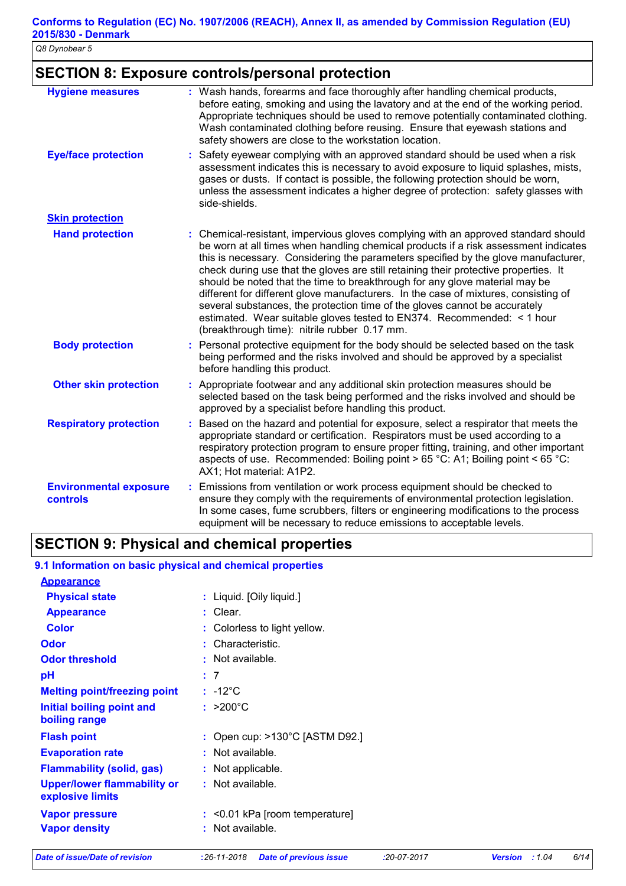# **SECTION 8: Exposure controls/personal protection**

| <b>Hygiene measures</b>                   | : Wash hands, forearms and face thoroughly after handling chemical products,<br>before eating, smoking and using the lavatory and at the end of the working period.<br>Appropriate techniques should be used to remove potentially contaminated clothing.<br>Wash contaminated clothing before reusing. Ensure that eyewash stations and<br>safety showers are close to the workstation location.                                                                                                                                                                                                                                                                                                                                     |
|-------------------------------------------|---------------------------------------------------------------------------------------------------------------------------------------------------------------------------------------------------------------------------------------------------------------------------------------------------------------------------------------------------------------------------------------------------------------------------------------------------------------------------------------------------------------------------------------------------------------------------------------------------------------------------------------------------------------------------------------------------------------------------------------|
| <b>Eye/face protection</b>                | Safety eyewear complying with an approved standard should be used when a risk<br>assessment indicates this is necessary to avoid exposure to liquid splashes, mists,<br>gases or dusts. If contact is possible, the following protection should be worn,<br>unless the assessment indicates a higher degree of protection: safety glasses with<br>side-shields.                                                                                                                                                                                                                                                                                                                                                                       |
| <b>Skin protection</b>                    |                                                                                                                                                                                                                                                                                                                                                                                                                                                                                                                                                                                                                                                                                                                                       |
| <b>Hand protection</b>                    | : Chemical-resistant, impervious gloves complying with an approved standard should<br>be worn at all times when handling chemical products if a risk assessment indicates<br>this is necessary. Considering the parameters specified by the glove manufacturer,<br>check during use that the gloves are still retaining their protective properties. It<br>should be noted that the time to breakthrough for any glove material may be<br>different for different glove manufacturers. In the case of mixtures, consisting of<br>several substances, the protection time of the gloves cannot be accurately<br>estimated. Wear suitable gloves tested to EN374. Recommended: < 1 hour<br>(breakthrough time): nitrile rubber 0.17 mm. |
| <b>Body protection</b>                    | Personal protective equipment for the body should be selected based on the task<br>being performed and the risks involved and should be approved by a specialist<br>before handling this product.                                                                                                                                                                                                                                                                                                                                                                                                                                                                                                                                     |
| <b>Other skin protection</b>              | Appropriate footwear and any additional skin protection measures should be<br>selected based on the task being performed and the risks involved and should be<br>approved by a specialist before handling this product.                                                                                                                                                                                                                                                                                                                                                                                                                                                                                                               |
| <b>Respiratory protection</b>             | Based on the hazard and potential for exposure, select a respirator that meets the<br>appropriate standard or certification. Respirators must be used according to a<br>respiratory protection program to ensure proper fitting, training, and other important<br>aspects of use. Recommended: Boiling point > 65 °C: A1; Boiling point < 65 °C:<br>AX1; Hot material: A1P2.                                                                                                                                                                                                                                                                                                                                                          |
| <b>Environmental exposure</b><br>controls | Emissions from ventilation or work process equipment should be checked to<br>ensure they comply with the requirements of environmental protection legislation.<br>In some cases, fume scrubbers, filters or engineering modifications to the process<br>equipment will be necessary to reduce emissions to acceptable levels.                                                                                                                                                                                                                                                                                                                                                                                                         |

# **SECTION 9: Physical and chemical properties**

### **9.1 Information on basic physical and chemical properties**

| <b>Appearance</b>                                      |                                          |
|--------------------------------------------------------|------------------------------------------|
| <b>Physical state</b>                                  | : Liquid. [Oily liquid.]                 |
| <b>Appearance</b>                                      | : Clear.                                 |
| Color                                                  | : Colorless to light yellow.             |
| Odor                                                   | : Characteristic.                        |
| <b>Odor threshold</b>                                  | : Not available.                         |
| pH                                                     | : 7                                      |
| <b>Melting point/freezing point</b>                    | : -12°C                                  |
| Initial boiling point and<br>boiling range             | : $>200^{\circ}$ C                       |
| <b>Flash point</b>                                     | : Open cup: $>130^{\circ}$ C [ASTM D92.] |
| <b>Evaporation rate</b>                                | : Not available.                         |
| <b>Flammability (solid, gas)</b>                       | : Not applicable.                        |
| <b>Upper/lower flammability or</b><br>explosive limits | : Not available.                         |
| <b>Vapor pressure</b>                                  | : < 0.01 kPa [room temperature]          |
| <b>Vapor density</b>                                   | : Not available.                         |
|                                                        |                                          |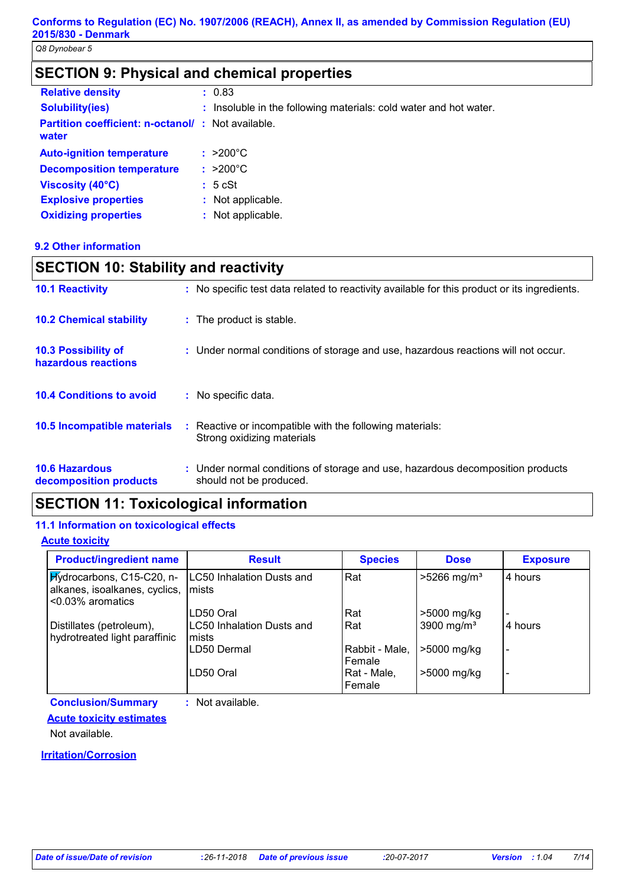# **SECTION 9: Physical and chemical properties**

| <b>Relative density</b>                                           | : 0.83                                                            |
|-------------------------------------------------------------------|-------------------------------------------------------------------|
| <b>Solubility(ies)</b>                                            | : Insoluble in the following materials: cold water and hot water. |
| <b>Partition coefficient: n-octanol/: Not available.</b><br>water |                                                                   |
| <b>Auto-ignition temperature</b>                                  | $: >200^{\circ}$ C                                                |
| <b>Decomposition temperature</b>                                  | $: >200^{\circ}$ C                                                |
| Viscosity (40°C)                                                  | : 5 cSt                                                           |
| <b>Explosive properties</b>                                       | : Not applicable.                                                 |
| <b>Oxidizing properties</b>                                       | : Not applicable.                                                 |

### **9.2 Other information**

| <b>SECTION 10: Stability and reactivity</b>       |                                                                                                           |  |  |  |
|---------------------------------------------------|-----------------------------------------------------------------------------------------------------------|--|--|--|
| <b>10.1 Reactivity</b>                            | : No specific test data related to reactivity available for this product or its ingredients.              |  |  |  |
| <b>10.2 Chemical stability</b>                    | : The product is stable.                                                                                  |  |  |  |
| <b>10.3 Possibility of</b><br>hazardous reactions | : Under normal conditions of storage and use, hazardous reactions will not occur.                         |  |  |  |
| <b>10.4 Conditions to avoid</b>                   | : No specific data.                                                                                       |  |  |  |
| <b>10.5 Incompatible materials</b>                | Reactive or incompatible with the following materials:<br>÷<br>Strong oxidizing materials                 |  |  |  |
| <b>10.6 Hazardous</b><br>decomposition products   | : Under normal conditions of storage and use, hazardous decomposition products<br>should not be produced. |  |  |  |

# **SECTION 11: Toxicological information**

### **11.1 Information on toxicological effects**

### **Acute toxicity**

| <b>Product/ingredient name</b>                                                 | <b>Result</b>                             | <b>Species</b>           | <b>Dose</b>               | <b>Exposure</b>          |
|--------------------------------------------------------------------------------|-------------------------------------------|--------------------------|---------------------------|--------------------------|
| Hydrocarbons, C15-C20, n-<br>alkanes, isoalkanes, cyclics,<br><0.03% aromatics | <b>LC50 Inhalation Dusts and</b><br>mists | Rat                      | $>5266$ mg/m <sup>3</sup> | 4 hours                  |
|                                                                                | LD50 Oral                                 | Rat                      | >5000 mg/kg               |                          |
| Distillates (petroleum),<br>hydrotreated light paraffinic                      | <b>LC50 Inhalation Dusts and</b><br>mists | Rat                      | 3900 mg/ $m3$             | 4 hours                  |
|                                                                                | LD50 Dermal                               | Rabbit - Male,<br>Female | >5000 mg/kg               |                          |
|                                                                                | LD50 Oral                                 | Rat - Male,<br>Female    | >5000 mg/kg               | $\overline{\phantom{a}}$ |

**Conclusion/Summary :** Not available.

### **Acute toxicity estimates**

Not available.

### **Irritation/Corrosion**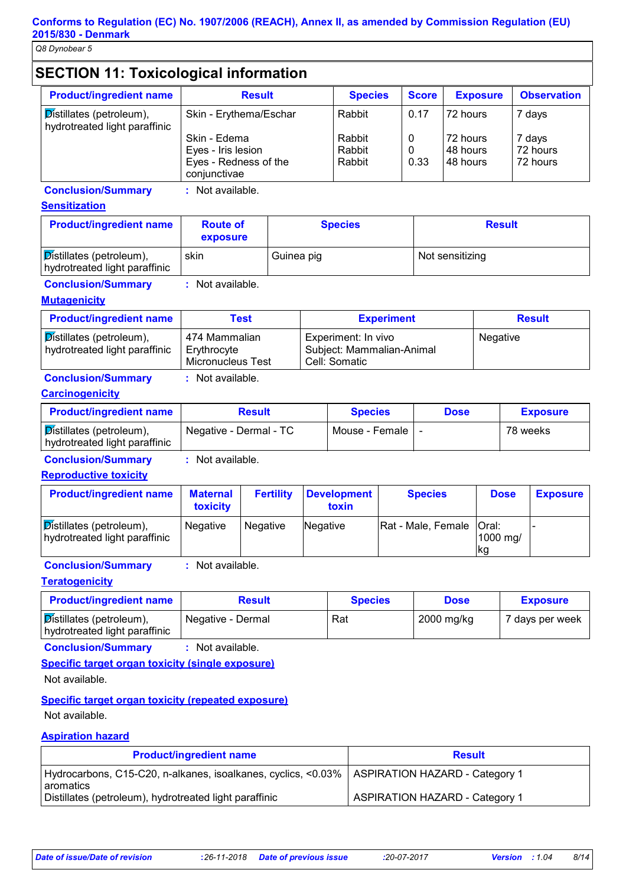# **SECTION 11: Toxicological information**

| <b>Result</b>          | <b>Species</b> | <b>Score</b> | <b>Exposure</b> | <b>Observation</b> |
|------------------------|----------------|--------------|-----------------|--------------------|
| Skin - Erythema/Eschar | Rabbit         | 0.17         | 72 hours        | 7 days             |
| Skin - Edema           | Rabbit         | 0            | 72 hours        | 7 days             |
| Eyes - Iris lesion     | Rabbit         | 0            | 148 hours       | 72 hours           |
| Eyes - Redness of the  | Rabbit         | 0.33         | 48 hours        | 72 hours           |
|                        |                | conjunctivae |                 |                    |

**Conclusion/Summary :** Not available.

### **Sensitization**

| <b>Product/ingredient name</b>                            | <b>Route of</b><br>exposure | <b>Species</b> | <b>Result</b>   |
|-----------------------------------------------------------|-----------------------------|----------------|-----------------|
| Distillates (petroleum),<br>hydrotreated light paraffinic | skin                        | Guinea pig     | Not sensitizing |

**Conclusion/Summary :** Not available.

### **Mutagenicity**

| <b>Product/ingredient name</b>                                   | Test                                                     | <b>Experiment</b>                                                 | <b>Result</b> |
|------------------------------------------------------------------|----------------------------------------------------------|-------------------------------------------------------------------|---------------|
| <b>Distillates (petroleum),</b><br>hydrotreated light paraffinic | 474 Mammalian<br>Erythrocyte<br><b>Micronucleus Test</b> | Experiment: In vivo<br>Subject: Mammalian-Animal<br>Cell: Somatic | Negative      |

# **Conclusion/Summary :** Not available.

### **Carcinogenicity**

| <b>Product/ingredient name</b>                            | <b>Result</b>          | <b>Species</b>   | <b>Dose</b> | <b>Exposure</b> |
|-----------------------------------------------------------|------------------------|------------------|-------------|-----------------|
| Distillates (petroleum),<br>hydrotreated light paraffinic | Negative - Dermal - TC | Mouse - Female I |             | 78 weeks        |

**Conclusion/Summary :** Not available.

**Reproductive toxicity**

| <b>Product/ingredient name</b>                            | <b>Maternal</b><br><b>toxicity</b> | <b>Fertility</b> | <b>Development</b><br>toxin | <b>Species</b>             | <b>Dose</b>     | <b>Exposure</b> |
|-----------------------------------------------------------|------------------------------------|------------------|-----------------------------|----------------------------|-----------------|-----------------|
| Distillates (petroleum),<br>hydrotreated light paraffinic | <b>Negative</b>                    | <b>Negative</b>  | Negative                    | Rat - Male, Female   Oral: | 1000 mg/<br> kg |                 |

**Conclusion/Summary :** Not available.

### **Teratogenicity**

| <b>Product/ingredient name</b>                            | Result            | <b>Species</b> | <b>Dose</b> | <b>Exposure</b> |
|-----------------------------------------------------------|-------------------|----------------|-------------|-----------------|
| Distillates (petroleum),<br>hydrotreated light paraffinic | Negative - Dermal | Rat            | 2000 mg/kg  | 7 days per week |

**Conclusion/Summary :** Not available.

### **Specific target organ toxicity (single exposure)**

Not available.

# **Specific target organ toxicity (repeated exposure)**

Not available.

### **Aspiration hazard**

| <b>Product/ingredient name</b>                                                                                | <b>Result</b>                         |
|---------------------------------------------------------------------------------------------------------------|---------------------------------------|
| Hydrocarbons, C15-C20, n-alkanes, isoalkanes, cyclics, <0.03%   ASPIRATION HAZARD - Category 1<br>l aromatics |                                       |
| Distillates (petroleum), hydrotreated light paraffinic                                                        | <b>ASPIRATION HAZARD - Category 1</b> |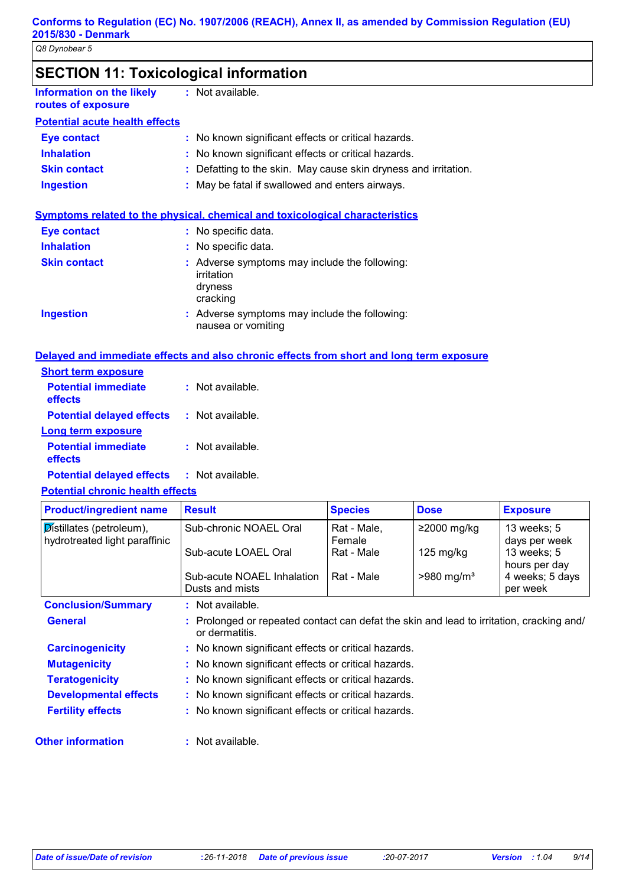| <b>SECTION 11: Toxicological information</b> |  |
|----------------------------------------------|--|
|----------------------------------------------|--|

| routes of exposure                    |  |
|---------------------------------------|--|
| <b>Potential acute health effects</b> |  |

**Information on the likely** 

| Eye contact         | : No known significant effects or critical hazards.             |
|---------------------|-----------------------------------------------------------------|
| <b>Inhalation</b>   | : No known significant effects or critical hazards.             |
| <b>Skin contact</b> | : Defatting to the skin. May cause skin dryness and irritation. |
| <b>Ingestion</b>    | : May be fatal if swallowed and enters airways.                 |

### **Symptoms related to the physical, chemical and toxicological characteristics**

: Not available.

| <b>Eye contact</b>  | : No specific data.                                                                |
|---------------------|------------------------------------------------------------------------------------|
| <b>Inhalation</b>   | : No specific data.                                                                |
| <b>Skin contact</b> | : Adverse symptoms may include the following:<br>irritation<br>dryness<br>cracking |
| <b>Ingestion</b>    | : Adverse symptoms may include the following:<br>nausea or vomiting                |

### **Delayed and immediate effects and also chronic effects from short and long term exposure**

| <b>Short term exposure</b>            |                    |
|---------------------------------------|--------------------|
| <b>Potential immediate</b><br>effects | : Not available    |
| <b>Potential delayed effects</b>      | $:$ Not available. |
| <b>Long term exposure</b>             |                    |
| <b>Potential immediate</b><br>effects | : Not available.   |
| <b>Potential delayed effects</b>      | : Not available.   |

### **Potential chronic health effects**

| <b>Product/ingredient name</b>                            | <b>Result</b>                                                                                              | <b>Species</b>        | <b>Dose</b>              | <b>Exposure</b>              |
|-----------------------------------------------------------|------------------------------------------------------------------------------------------------------------|-----------------------|--------------------------|------------------------------|
| Distillates (petroleum),<br>hydrotreated light paraffinic | Sub-chronic NOAEL Oral                                                                                     | Rat - Male,<br>Female | $≥2000$ mg/kg            | 13 weeks; 5<br>days per week |
|                                                           | Sub-acute LOAEL Oral                                                                                       | Rat - Male            | $125 \text{ mg/kg}$      | 13 weeks; 5<br>hours per day |
|                                                           | Sub-acute NOAEL Inhalation<br>Dusts and mists                                                              | Rat - Male            | $>980$ mg/m <sup>3</sup> | 4 weeks; 5 days<br>per week  |
|                                                           |                                                                                                            |                       |                          |                              |
|                                                           | $:$ Not available.                                                                                         |                       |                          |                              |
| <b>General</b>                                            | : Prolonged or repeated contact can defat the skin and lead to irritation, cracking and/<br>or dermatitis. |                       |                          |                              |
| <b>Carcinogenicity</b>                                    | : No known significant effects or critical hazards.                                                        |                       |                          |                              |
| <b>Mutagenicity</b>                                       | : No known significant effects or critical hazards.                                                        |                       |                          |                              |
| <b>Teratogenicity</b>                                     | : No known significant effects or critical hazards.                                                        |                       |                          |                              |
| <b>Conclusion/Summary</b><br><b>Developmental effects</b> | : No known significant effects or critical hazards.                                                        |                       |                          |                              |

### **Other information :**

: Not available.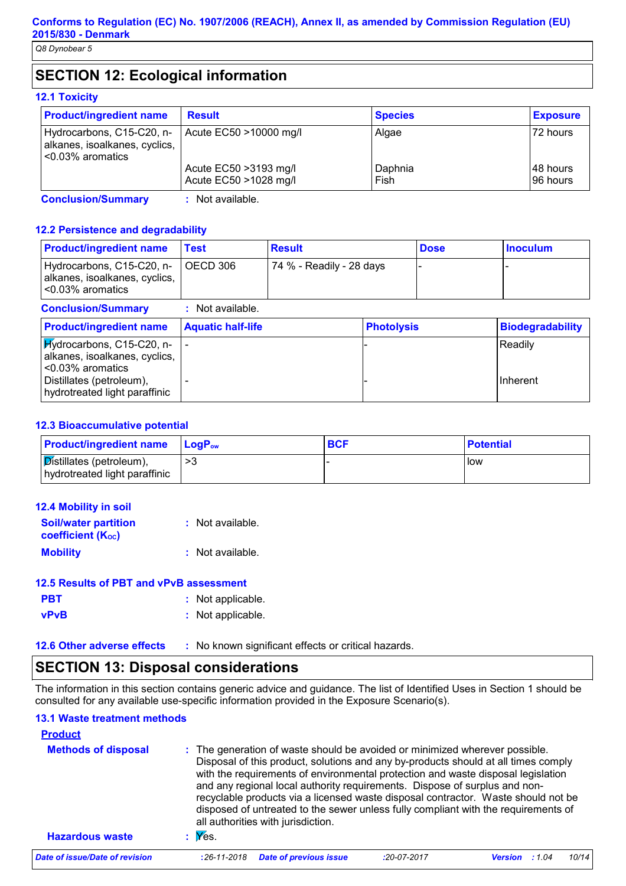# **SECTION 12: Ecological information**

### **12.1 Toxicity**

| <b>Product/ingredient name</b>                                                     | <b>Result</b>                                   | <b>Species</b>  | <b>Exposure</b>       |
|------------------------------------------------------------------------------------|-------------------------------------------------|-----------------|-----------------------|
| Hydrocarbons, C15-C20, n-<br>alkanes, isoalkanes, cyclics,<br>$< 0.03\%$ aromatics | Acute EC50 >10000 mg/l                          | Algae           | 72 hours              |
|                                                                                    | Acute EC50 > 3193 mg/l<br>Acute EC50 >1028 mg/l | Daphnia<br>Fish | 148 hours<br>96 hours |

**Conclusion/Summary :** Not available.

### **12.2 Persistence and degradability**

| <b>Product/ingredient name</b>                                                     | Test                     | <b>Result</b>            |                   | <b>Dose</b> | <b>Inoculum</b>         |
|------------------------------------------------------------------------------------|--------------------------|--------------------------|-------------------|-------------|-------------------------|
| Hydrocarbons, C15-C20, n-<br>alkanes, isoalkanes, cyclics,<br>$< 0.03\%$ aromatics | OECD 306                 | 74 % - Readily - 28 days |                   |             |                         |
| <b>Conclusion/Summary</b>                                                          | : Not available.         |                          |                   |             |                         |
| <b>Product/ingredient name</b>                                                     | <b>Aquatic half-life</b> |                          | <b>Photolysis</b> |             | <b>Biodegradability</b> |

| $\blacksquare$ Frouggering equation from $\blacksquare$ | $\blacksquare$ Ayuatit Hall-IIIt | <u>FIIULUIVSIS</u> | <u>Pluueyraudulity</u> |
|---------------------------------------------------------|----------------------------------|--------------------|------------------------|
| $ \vec{H}$ ydrocarbons, C15-C20, n- $ \cdot $           |                                  |                    | <b>IReadily</b>        |
| alkanes, isoalkanes, cyclics,                           |                                  |                    |                        |
| l <0.03% aromatics                                      |                                  |                    |                        |
| Distillates (petroleum),                                |                                  |                    | <b>Ilnherent</b>       |
| hydrotreated light paraffinic                           |                                  |                    |                        |
|                                                         |                                  |                    |                        |

### **12.3 Bioaccumulative potential**

| <b>Product/ingredient name</b>                                          | <b>LogP</b> <sub>ow</sub> | <b>BCF</b> | <b>Potential</b> |
|-------------------------------------------------------------------------|---------------------------|------------|------------------|
| $ \mathcal{D}$ istillates (petroleum),<br>hydrotreated light paraffinic |                           |            | l low            |

| <b>12.4 Mobility in soil</b>                            |                  |
|---------------------------------------------------------|------------------|
| <b>Soil/water partition</b><br><b>coefficient (Koc)</b> | : Not available. |
| <b>Mobility</b>                                         | : Not available. |

# **12.5 Results of PBT and vPvB assessment**

| <b>PBT</b>  | : Not applicable. |
|-------------|-------------------|
| <b>vPvB</b> | : Not applicable. |

**12.6 Other adverse effects** : No known significant effects or critical hazards.

# **SECTION 13: Disposal considerations**

The information in this section contains generic advice and guidance. The list of Identified Uses in Section 1 should be consulted for any available use-specific information provided in the Exposure Scenario(s).

### **13.1 Waste treatment methods**

| <b>Product</b><br><b>Methods of disposal</b> | : The generation of waste should be avoided or minimized wherever possible.<br>Disposal of this product, solutions and any by-products should at all times comply                                                                                                                                                                                                               |  |  |  |  |  |
|----------------------------------------------|---------------------------------------------------------------------------------------------------------------------------------------------------------------------------------------------------------------------------------------------------------------------------------------------------------------------------------------------------------------------------------|--|--|--|--|--|
|                                              | with the requirements of environmental protection and waste disposal legislation<br>and any regional local authority requirements. Dispose of surplus and non-<br>recyclable products via a licensed waste disposal contractor. Waste should not be<br>disposed of untreated to the sewer unless fully compliant with the requirements of<br>all authorities with jurisdiction. |  |  |  |  |  |
| <b>Hazardous waste</b>                       | $\mathbf{y}$ Yes.                                                                                                                                                                                                                                                                                                                                                               |  |  |  |  |  |
| Date of issue/Date of revision               | <b>Date of previous issue</b><br>10/14<br>$:26-11-2018$<br>:20-07-2017<br><b>Version</b> : 1.04                                                                                                                                                                                                                                                                                 |  |  |  |  |  |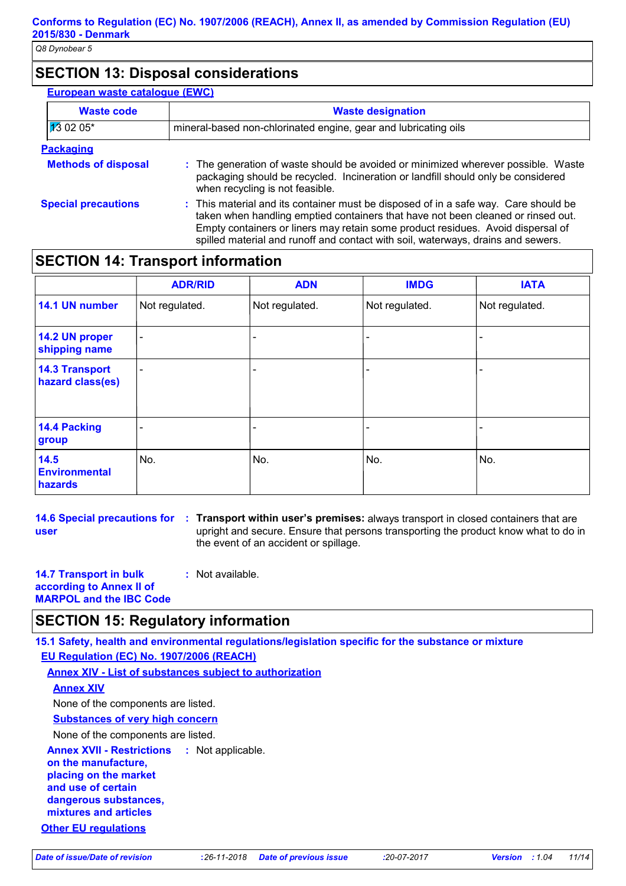# **SECTION 13: Disposal considerations**

| <b>European waste cataloque (EWC)</b> |                                                                                                                                                                                                                                                                                                                                                |  |
|---------------------------------------|------------------------------------------------------------------------------------------------------------------------------------------------------------------------------------------------------------------------------------------------------------------------------------------------------------------------------------------------|--|
| <b>Waste code</b>                     | <b>Waste designation</b>                                                                                                                                                                                                                                                                                                                       |  |
| $130205*$                             | mineral-based non-chlorinated engine, gear and lubricating oils                                                                                                                                                                                                                                                                                |  |
| <b>Packaging</b>                      |                                                                                                                                                                                                                                                                                                                                                |  |
| <b>Methods of disposal</b>            | : The generation of waste should be avoided or minimized wherever possible. Waste<br>packaging should be recycled. Incineration or landfill should only be considered<br>when recycling is not feasible.                                                                                                                                       |  |
| <b>Special precautions</b>            | : This material and its container must be disposed of in a safe way. Care should be<br>taken when handling emptied containers that have not been cleaned or rinsed out.<br>Empty containers or liners may retain some product residues. Avoid dispersal of<br>spilled material and runoff and contact with soil, waterways, drains and sewers. |  |

# **SECTION 14: Transport information**

|                                           | <b>ADR/RID</b>           | <b>ADN</b>               | <b>IMDG</b>    | <b>IATA</b>    |
|-------------------------------------------|--------------------------|--------------------------|----------------|----------------|
| 14.1 UN number                            | Not regulated.           | Not regulated.           | Not regulated. | Not regulated. |
| 14.2 UN proper<br>shipping name           | $\overline{\phantom{a}}$ |                          |                |                |
| <b>14.3 Transport</b><br>hazard class(es) | $\overline{\phantom{0}}$ |                          |                |                |
| <b>14.4 Packing</b><br>group              |                          | $\overline{\phantom{0}}$ |                |                |
| 14.5<br><b>Environmental</b><br>hazards   | No.                      | No.                      | No.            | No.            |

**14.6 Special precautions for user**

**Transport within user's premises:** always transport in closed containers that are **:** upright and secure. Ensure that persons transporting the product know what to do in the event of an accident or spillage.

**14.7 Transport in bulk according to Annex II of MARPOL and the IBC Code :** Not available.

# **SECTION 15: Regulatory information**

**15.1 Safety, health and environmental regulations/legislation specific for the substance or mixture EU Regulation (EC) No. 1907/2006 (REACH)**

**Other EU regulations Annex XVII - Restrictions on the manufacture, placing on the market and use of certain dangerous substances, mixtures and articles** : Not applicable. **Annex XIV - List of substances subject to authorization Substances of very high concern** None of the components are listed. **Annex XIV** None of the components are listed.

*Date of issue/Date of revision* **:***26-11-2018 Date of previous issue :20-07-2017 Version : 1.04 11/14*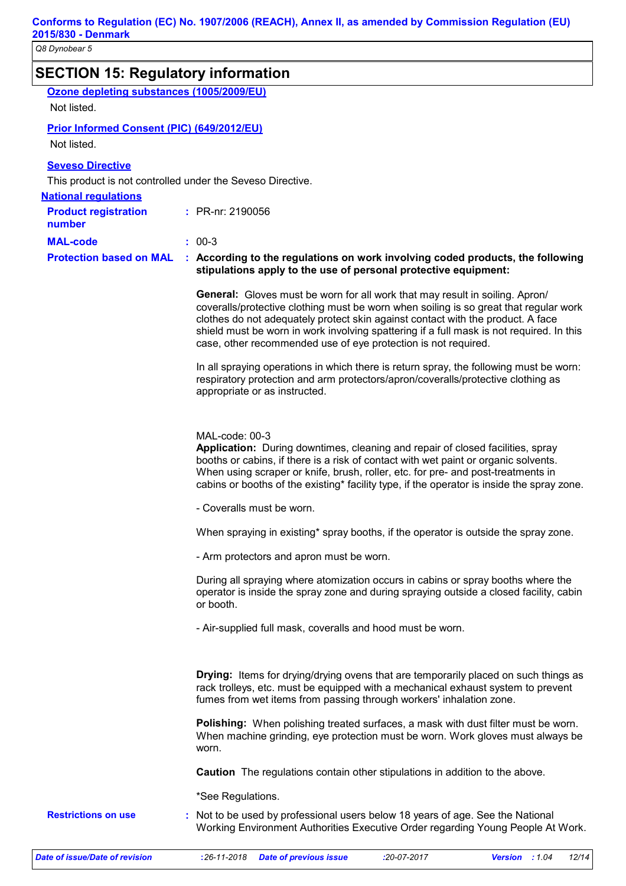| <b>SECTION 15: Regulatory information</b>         |                                                                                                                                                                                                                                                                                                                                                                                                                        |
|---------------------------------------------------|------------------------------------------------------------------------------------------------------------------------------------------------------------------------------------------------------------------------------------------------------------------------------------------------------------------------------------------------------------------------------------------------------------------------|
| Ozone depleting substances (1005/2009/EU)         |                                                                                                                                                                                                                                                                                                                                                                                                                        |
| Not listed.                                       |                                                                                                                                                                                                                                                                                                                                                                                                                        |
| <b>Prior Informed Consent (PIC) (649/2012/EU)</b> |                                                                                                                                                                                                                                                                                                                                                                                                                        |
| Not listed.                                       |                                                                                                                                                                                                                                                                                                                                                                                                                        |
| <b>Seveso Directive</b>                           |                                                                                                                                                                                                                                                                                                                                                                                                                        |
|                                                   | This product is not controlled under the Seveso Directive.                                                                                                                                                                                                                                                                                                                                                             |
| <b>National regulations</b>                       |                                                                                                                                                                                                                                                                                                                                                                                                                        |
| <b>Product registration</b><br>number             | : PR-nr: 2190056                                                                                                                                                                                                                                                                                                                                                                                                       |
| <b>MAL-code</b>                                   | $: 00-3$                                                                                                                                                                                                                                                                                                                                                                                                               |
| <b>Protection based on MAL</b>                    | : According to the regulations on work involving coded products, the following<br>stipulations apply to the use of personal protective equipment:                                                                                                                                                                                                                                                                      |
|                                                   | General: Gloves must be worn for all work that may result in soiling. Apron/<br>coveralls/protective clothing must be worn when soiling is so great that regular work<br>clothes do not adequately protect skin against contact with the product. A face<br>shield must be worn in work involving spattering if a full mask is not required. In this<br>case, other recommended use of eye protection is not required. |
|                                                   | In all spraying operations in which there is return spray, the following must be worn:<br>respiratory protection and arm protectors/apron/coveralls/protective clothing as<br>appropriate or as instructed.                                                                                                                                                                                                            |
|                                                   | MAL-code: 00-3<br>Application: During downtimes, cleaning and repair of closed facilities, spray<br>booths or cabins, if there is a risk of contact with wet paint or organic solvents.<br>When using scraper or knife, brush, roller, etc. for pre- and post-treatments in<br>cabins or booths of the existing* facility type, if the operator is inside the spray zone.                                              |
|                                                   | - Coveralls must be worn.                                                                                                                                                                                                                                                                                                                                                                                              |
|                                                   | When spraying in existing* spray booths, if the operator is outside the spray zone.                                                                                                                                                                                                                                                                                                                                    |
|                                                   | - Arm protectors and apron must be worn.                                                                                                                                                                                                                                                                                                                                                                               |
|                                                   | During all spraying where atomization occurs in cabins or spray booths where the<br>operator is inside the spray zone and during spraying outside a closed facility, cabin<br>or booth.                                                                                                                                                                                                                                |
|                                                   | - Air-supplied full mask, coveralls and hood must be worn.                                                                                                                                                                                                                                                                                                                                                             |
|                                                   | <b>Drying:</b> Items for drying/drying ovens that are temporarily placed on such things as<br>rack trolleys, etc. must be equipped with a mechanical exhaust system to prevent<br>fumes from wet items from passing through workers' inhalation zone.                                                                                                                                                                  |
|                                                   | <b>Polishing:</b> When polishing treated surfaces, a mask with dust filter must be worn.<br>When machine grinding, eye protection must be worn. Work gloves must always be<br>worn.                                                                                                                                                                                                                                    |
|                                                   | <b>Caution</b> The regulations contain other stipulations in addition to the above.                                                                                                                                                                                                                                                                                                                                    |
|                                                   | *See Regulations.                                                                                                                                                                                                                                                                                                                                                                                                      |
| <b>Restrictions on use</b>                        | Not to be used by professional users below 18 years of age. See the National<br>Working Environment Authorities Executive Order regarding Young People At Work.                                                                                                                                                                                                                                                        |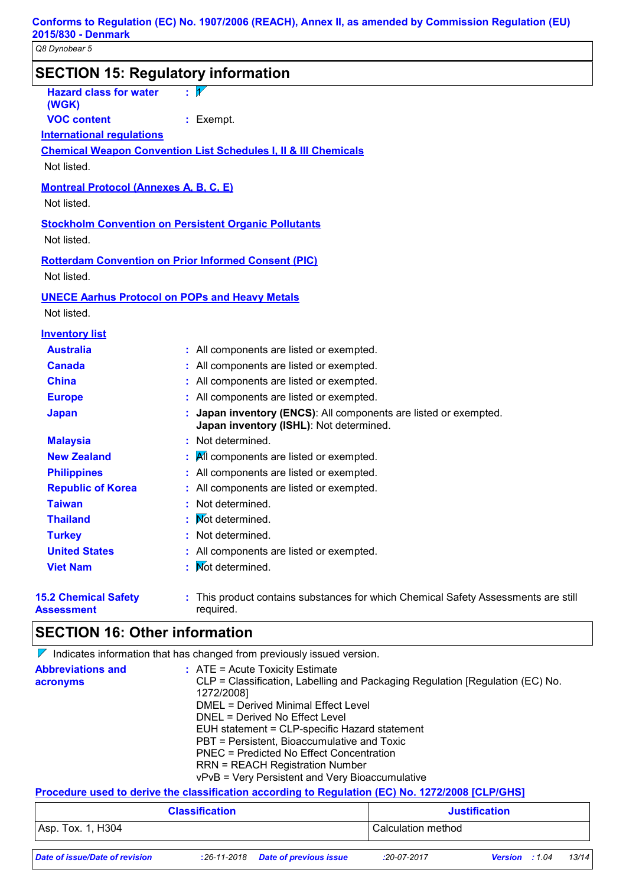| <b>SECTION 15: Regulatory information</b>                                                                       |                                                                                                                                                                                                                                                                                                                                                                                 |                                                                                    |  |
|-----------------------------------------------------------------------------------------------------------------|---------------------------------------------------------------------------------------------------------------------------------------------------------------------------------------------------------------------------------------------------------------------------------------------------------------------------------------------------------------------------------|------------------------------------------------------------------------------------|--|
| <b>Hazard class for water</b><br>(WGK)<br><b>VOC content</b><br><b>International requlations</b><br>Not listed. | $\overline{\mathcal{V}}$<br>×,<br>: Exempt.<br><b>Chemical Weapon Convention List Schedules I, II &amp; III Chemicals</b>                                                                                                                                                                                                                                                       |                                                                                    |  |
| <b>Montreal Protocol (Annexes A, B, C, E)</b><br>Not listed.                                                    |                                                                                                                                                                                                                                                                                                                                                                                 |                                                                                    |  |
| Not listed.                                                                                                     | <b>Stockholm Convention on Persistent Organic Pollutants</b>                                                                                                                                                                                                                                                                                                                    |                                                                                    |  |
| Not listed.                                                                                                     | <b>Rotterdam Convention on Prior Informed Consent (PIC)</b>                                                                                                                                                                                                                                                                                                                     |                                                                                    |  |
| Not listed.                                                                                                     | <b>UNECE Aarhus Protocol on POPs and Heavy Metals</b>                                                                                                                                                                                                                                                                                                                           |                                                                                    |  |
| <b>Inventory list</b>                                                                                           |                                                                                                                                                                                                                                                                                                                                                                                 |                                                                                    |  |
| <b>Australia</b>                                                                                                | : All components are listed or exempted.                                                                                                                                                                                                                                                                                                                                        |                                                                                    |  |
| <b>Canada</b>                                                                                                   | All components are listed or exempted.                                                                                                                                                                                                                                                                                                                                          |                                                                                    |  |
| <b>China</b>                                                                                                    | All components are listed or exempted.                                                                                                                                                                                                                                                                                                                                          |                                                                                    |  |
| <b>Europe</b>                                                                                                   | All components are listed or exempted.                                                                                                                                                                                                                                                                                                                                          |                                                                                    |  |
| <b>Japan</b>                                                                                                    | Japan inventory (ENCS): All components are listed or exempted.<br>Japan inventory (ISHL): Not determined.                                                                                                                                                                                                                                                                       |                                                                                    |  |
| <b>Malaysia</b>                                                                                                 | : Not determined.                                                                                                                                                                                                                                                                                                                                                               |                                                                                    |  |
| <b>New Zealand</b>                                                                                              | All components are listed or exempted.                                                                                                                                                                                                                                                                                                                                          |                                                                                    |  |
| <b>Philippines</b>                                                                                              | All components are listed or exempted.                                                                                                                                                                                                                                                                                                                                          |                                                                                    |  |
| <b>Republic of Korea</b>                                                                                        | All components are listed or exempted.                                                                                                                                                                                                                                                                                                                                          |                                                                                    |  |
| <b>Taiwan</b>                                                                                                   | Not determined.                                                                                                                                                                                                                                                                                                                                                                 |                                                                                    |  |
| <b>Thailand</b>                                                                                                 | Not determined.                                                                                                                                                                                                                                                                                                                                                                 |                                                                                    |  |
| <b>Turkey</b>                                                                                                   | Not determined.                                                                                                                                                                                                                                                                                                                                                                 |                                                                                    |  |
| <b>United States</b>                                                                                            | : All components are listed or exempted.                                                                                                                                                                                                                                                                                                                                        |                                                                                    |  |
| <b>Viet Nam</b>                                                                                                 | Not determined.                                                                                                                                                                                                                                                                                                                                                                 |                                                                                    |  |
| <b>15.2 Chemical Safety</b><br><b>Assessment</b>                                                                | required.                                                                                                                                                                                                                                                                                                                                                                       | : This product contains substances for which Chemical Safety Assessments are still |  |
| <b>SECTION 16: Other information</b>                                                                            |                                                                                                                                                                                                                                                                                                                                                                                 |                                                                                    |  |
|                                                                                                                 | $\nabla$ Indicates information that has changed from previously issued version.                                                                                                                                                                                                                                                                                                 |                                                                                    |  |
| <b>Abbreviations and</b><br>acronyms                                                                            | $:$ ATE = Acute Toxicity Estimate<br>1272/2008]<br><b>DMEL = Derived Minimal Effect Level</b><br>DNEL = Derived No Effect Level<br>EUH statement = CLP-specific Hazard statement<br>PBT = Persistent, Bioaccumulative and Toxic<br><b>PNEC = Predicted No Effect Concentration</b><br><b>RRN = REACH Registration Number</b><br>vPvB = Very Persistent and Very Bioaccumulative | CLP = Classification, Labelling and Packaging Regulation [Regulation (EC) No.      |  |
|                                                                                                                 | Procedure used to derive the classification according to Regulation (EC) No. 1272/2008 [CLP/GHS]                                                                                                                                                                                                                                                                                |                                                                                    |  |
|                                                                                                                 | <b>Classification</b>                                                                                                                                                                                                                                                                                                                                                           | <b>Justification</b>                                                               |  |
| Asp. Tox. 1, H304                                                                                               |                                                                                                                                                                                                                                                                                                                                                                                 | Calculation method                                                                 |  |
|                                                                                                                 |                                                                                                                                                                                                                                                                                                                                                                                 |                                                                                    |  |